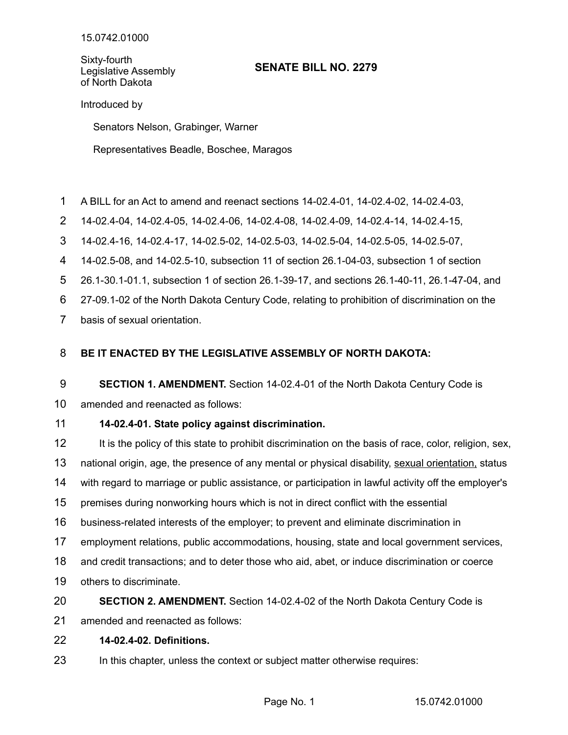Sixty-fourth Legislative Assembly of North Dakota

# **SENATE BILL NO. 2279**

Introduced by

Senators Nelson, Grabinger, Warner

Representatives Beadle, Boschee, Maragos

- A BILL for an Act to amend and reenact sections 14-02.4-01, 14-02.4-02, 14-02.4-03, 1
- 14-02.4-04, 14-02.4-05, 14-02.4-06, 14-02.4-08, 14-02.4-09, 14-02.4-14, 14-02.4-15, 2
- 14-02.4-16, 14-02.4-17, 14-02.5-02, 14-02.5-03, 14-02.5-04, 14-02.5-05, 14-02.5-07, 3

14-02.5-08, and 14-02.5-10, subsection 11 of section 26.1-04-03, subsection 1 of section 4

26.1-30.1-01.1, subsection 1 of section 26.1-39-17, and sections 26.1-40-11, 26.1-47-04, and 5

27-09.1-02 of the North Dakota Century Code, relating to prohibition of discrimination on the 6

basis of sexual orientation. 7

### **BE IT ENACTED BY THE LEGISLATIVE ASSEMBLY OF NORTH DAKOTA:** 8

**SECTION 1. AMENDMENT.** Section 14-02.4-01 of the North Dakota Century Code is 9

amended and reenacted as follows: 10

### **14-02.4-01. State policy against discrimination.** 11

It is the policy of this state to prohibit discrimination on the basis of race, color, religion, sex, national origin, age, the presence of any mental or physical disability, sexual orientation, status with regard to marriage or public assistance, or participation in lawful activity off the employer's premises during nonworking hours which is not in direct conflict with the essential business-related interests of the employer; to prevent and eliminate discrimination in employment relations, public accommodations, housing, state and local government services, and credit transactions; and to deter those who aid, abet, or induce discrimination or coerce others to discriminate. 12 13 14 15 16 17 18 19

**SECTION 2. AMENDMENT.** Section 14-02.4-02 of the North Dakota Century Code is 20

amended and reenacted as follows: 21

#### **14-02.4-02. Definitions.** 22

In this chapter, unless the context or subject matter otherwise requires: 23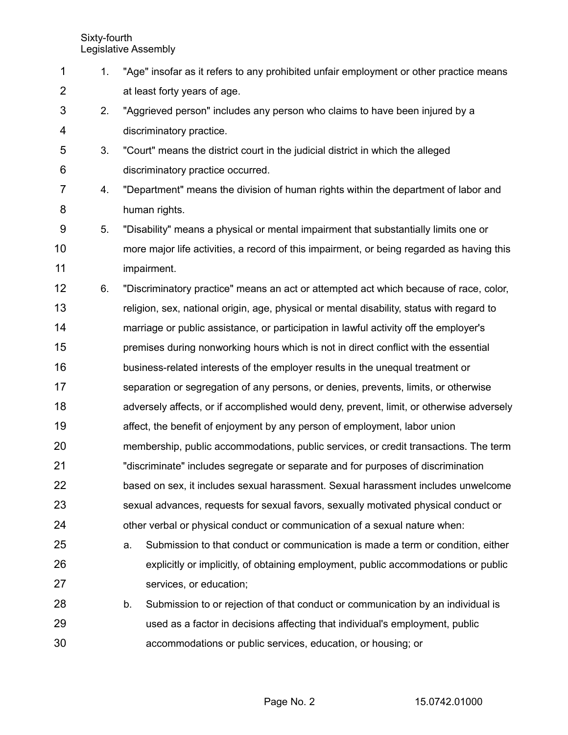| 1              | 1. | "Age" insofar as it refers to any prohibited unfair employment or other practice means    |
|----------------|----|-------------------------------------------------------------------------------------------|
| $\overline{2}$ |    | at least forty years of age.                                                              |
| 3              | 2. | "Aggrieved person" includes any person who claims to have been injured by a               |
| 4              |    | discriminatory practice.                                                                  |
| 5              | 3. | "Court" means the district court in the judicial district in which the alleged            |
| 6              |    | discriminatory practice occurred.                                                         |
| 7              | 4. | "Department" means the division of human rights within the department of labor and        |
| 8              |    | human rights.                                                                             |
| 9              | 5. | "Disability" means a physical or mental impairment that substantially limits one or       |
| 10             |    | more major life activities, a record of this impairment, or being regarded as having this |
| 11             |    | impairment.                                                                               |
| 12             | 6. | "Discriminatory practice" means an act or attempted act which because of race, color,     |
| 13             |    | religion, sex, national origin, age, physical or mental disability, status with regard to |
| 14             |    | marriage or public assistance, or participation in lawful activity off the employer's     |
| 15             |    | premises during nonworking hours which is not in direct conflict with the essential       |
| 16             |    | business-related interests of the employer results in the unequal treatment or            |
| 17             |    | separation or segregation of any persons, or denies, prevents, limits, or otherwise       |
| 18             |    | adversely affects, or if accomplished would deny, prevent, limit, or otherwise adversely  |
| 19             |    | affect, the benefit of enjoyment by any person of employment, labor union                 |
| 20             |    | membership, public accommodations, public services, or credit transactions. The term      |
| 21             |    | "discriminate" includes segregate or separate and for purposes of discrimination          |
| 22             |    | based on sex, it includes sexual harassment. Sexual harassment includes unwelcome         |
| 23             |    | sexual advances, requests for sexual favors, sexually motivated physical conduct or       |
| 24             |    | other verbal or physical conduct or communication of a sexual nature when:                |
| 25             |    | Submission to that conduct or communication is made a term or condition, either<br>a.     |
| 26             |    | explicitly or implicitly, of obtaining employment, public accommodations or public        |
| 27             |    | services, or education;                                                                   |
| 28             |    | Submission to or rejection of that conduct or communication by an individual is<br>b.     |
| 29             |    | used as a factor in decisions affecting that individual's employment, public              |
| 30             |    | accommodations or public services, education, or housing; or                              |
|                |    |                                                                                           |

Page No. 2 15.0742.01000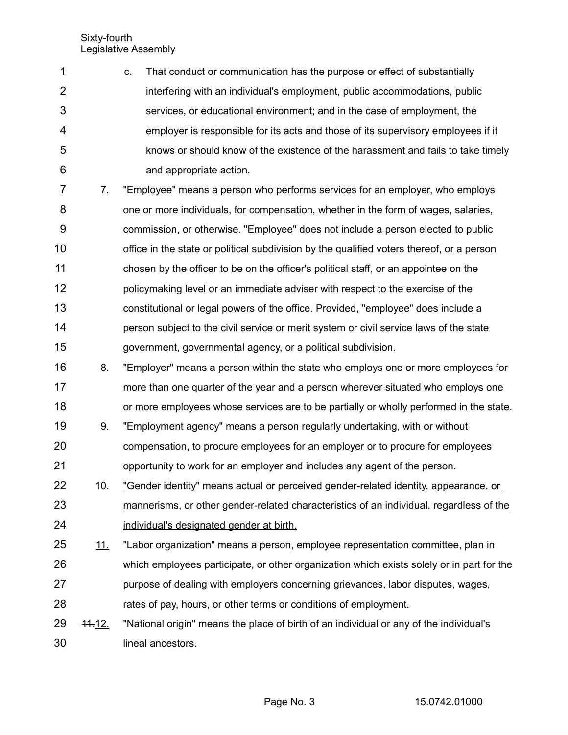| $\mathbf{1}$   | C. | That conduct or communication has the purpose or effect of substantially          |
|----------------|----|-----------------------------------------------------------------------------------|
| $\overline{2}$ |    | interfering with an individual's employment, public accommodations, public        |
| 3              |    | services, or educational environment; and in the case of employment, the          |
| $\overline{4}$ |    | employer is responsible for its acts and those of its supervisory employees if it |
| 5              |    | knows or should know of the existence of the harassment and fails to take timely  |
| 6              |    | and appropriate action.                                                           |
|                |    |                                                                                   |

7. "Employee" means a person who performs services for an employer, who employs one or more individuals, for compensation, whether in the form of wages, salaries, commission, or otherwise. "Employee" does not include a person elected to public office in the state or political subdivision by the qualified voters thereof, or a person chosen by the officer to be on the officer's political staff, or an appointee on the policymaking level or an immediate adviser with respect to the exercise of the constitutional or legal powers of the office. Provided, "employee" does include a person subject to the civil service or merit system or civil service laws of the state government, governmental agency, or a political subdivision. 7 8 9 10 11 12 13 14 15

- 8. "Employer" means a person within the state who employs one or more employees for more than one quarter of the year and a person wherever situated who employs one or more employees whose services are to be partially or wholly performed in the state. 16 17 18
- 9. "Employment agency" means a person regularly undertaking, with or without compensation, to procure employees for an employer or to procure for employees opportunity to work for an employer and includes any agent of the person. 19 20 21
- 10. "Gender identity" means actual or perceived gender-related identity, appearance, or mannerisms, or other gender-related characteristics of an individual, regardless of the individual's designated gender at birth. 22 23 24

11. "Labor organization" means a person, employee representation committee, plan in which employees participate, or other organization which exists solely or in part for the purpose of dealing with employers concerning grievances, labor disputes, wages, rates of pay, hours, or other terms or conditions of employment. 25 26 27 28

11.12. "National origin" means the place of birth of an individual or any of the individual's lineal ancestors. 29 30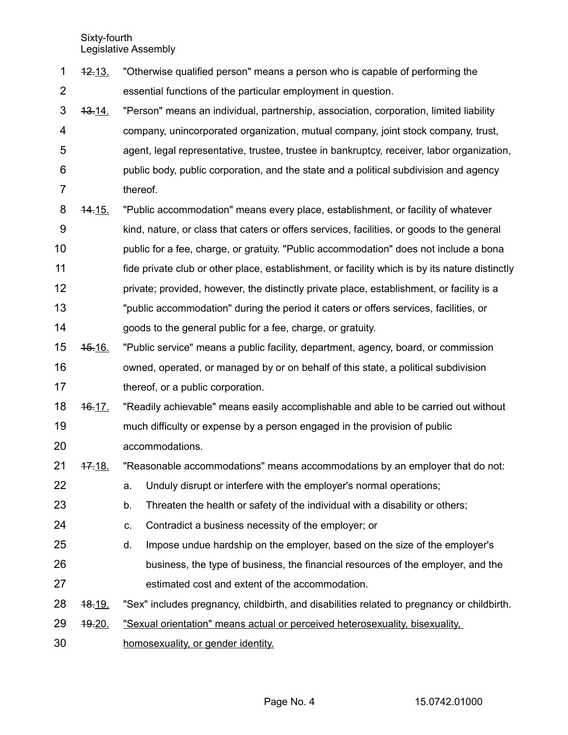- 12.13. "Otherwise qualified person" means a person who is capable of performing the essential functions of the particular employment in question. 1 2
- 13.14. "Person" means an individual, partnership, association, corporation, limited liability company, unincorporated organization, mutual company, joint stock company, trust, agent, legal representative, trustee, trustee in bankruptcy, receiver, labor organization, public body, public corporation, and the state and a political subdivision and agency thereof. 3 4 5 6 7
- 14.15. "Public accommodation" means every place, establishment, or facility of whatever kind, nature, or class that caters or offers services, facilities, or goods to the general public for a fee, charge, or gratuity. "Public accommodation" does not include a bona fide private club or other place, establishment, or facility which is by its nature distinctly private; provided, however, the distinctly private place, establishment, or facility is a "public accommodation" during the period it caters or offers services, facilities, or goods to the general public for a fee, charge, or gratuity. 8 9 10 11 12 13 14
- 15.16. "Public service" means a public facility, department, agency, board, or commission owned, operated, or managed by or on behalf of this state, a political subdivision thereof, or a public corporation. 15 16 17
- 16.17. "Readily achievable" means easily accomplishable and able to be carried out without much difficulty or expense by a person engaged in the provision of public accommodations. 18 19 20
- 17.18. "Reasonable accommodations" means accommodations by an employer that do not: 21
- a. Unduly disrupt or interfere with the employer's normal operations; 22
- b. Threaten the health or safety of the individual with a disability or others; 23
- c. Contradict a business necessity of the employer; or 24
- d. Impose undue hardship on the employer, based on the size of the employer's business, the type of business, the financial resources of the employer, and the estimated cost and extent of the accommodation. 25 26 27
- 18.19. "Sex" includes pregnancy, childbirth, and disabilities related to pregnancy or childbirth. 28
- 19.20. "Sexual orientation" means actual or perceived heterosexuality, bisexuality, 29
- homosexuality, or gender identity. 30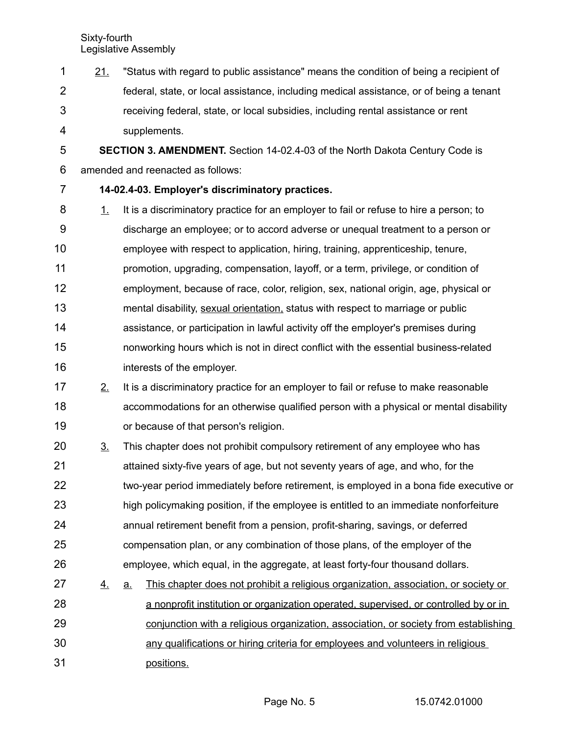21. "Status with regard to public assistance" means the condition of being a recipient of federal, state, or local assistance, including medical assistance, or of being a tenant receiving federal, state, or local subsidies, including rental assistance or rent supplements. 1 2 3 4

**SECTION 3. AMENDMENT.** Section 14-02.4-03 of the North Dakota Century Code is amended and reenacted as follows: 5 6

# 7

- **14-02.4-03. Employer's discriminatory practices.**
- 1. It is a discriminatory practice for an employer to fail or refuse to hire a person; to discharge an employee; or to accord adverse or unequal treatment to a person or employee with respect to application, hiring, training, apprenticeship, tenure, promotion, upgrading, compensation, layoff, or a term, privilege, or condition of employment, because of race, color, religion, sex, national origin, age, physical or mental disability, sexual orientation, status with respect to marriage or public assistance, or participation in lawful activity off the employer's premises during nonworking hours which is not in direct conflict with the essential business-related interests of the employer. 8 9 10 11 12 13 14 15 16
- 2. It is a discriminatory practice for an employer to fail or refuse to make reasonable accommodations for an otherwise qualified person with a physical or mental disability or because of that person's religion. 17 18 19
- 3. This chapter does not prohibit compulsory retirement of any employee who has attained sixty-five years of age, but not seventy years of age, and who, for the two-year period immediately before retirement, is employed in a bona fide executive or high policymaking position, if the employee is entitled to an immediate nonforfeiture annual retirement benefit from a pension, profit-sharing, savings, or deferred compensation plan, or any combination of those plans, of the employer of the employee, which equal, in the aggregate, at least forty-four thousand dollars. 20 21 22 23 24 25 26
- 4. a. This chapter does not prohibit a religious organization, association, or society or a nonprofit institution or organization operated, supervised, or controlled by or in conjunction with a religious organization, association, or society from establishing 27 28 29
- any qualifications or hiring criteria for employees and volunteers in religious positions. 30 31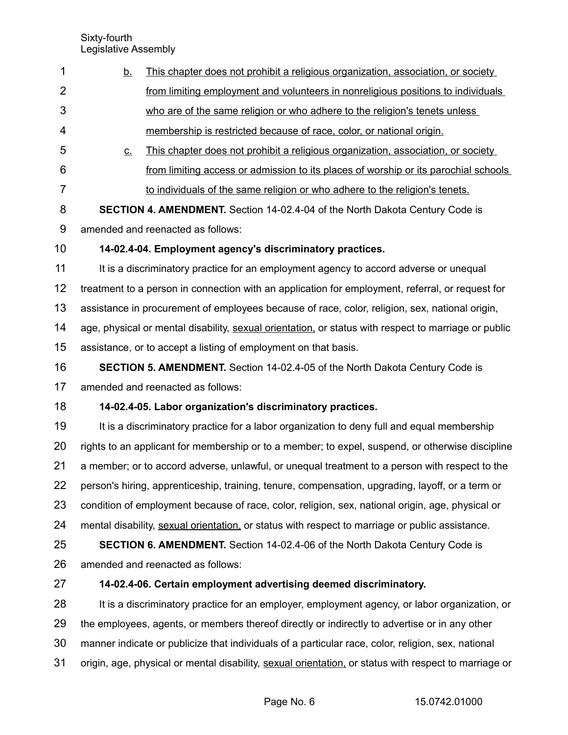|                | Legislative Assembly                                                                  |                                                                                                      |  |
|----------------|---------------------------------------------------------------------------------------|------------------------------------------------------------------------------------------------------|--|
| 1              | <u>b.</u>                                                                             | This chapter does not prohibit a religious organization, association, or society                     |  |
| $\overline{2}$ |                                                                                       | from limiting employment and volunteers in nonreligious positions to individuals                     |  |
| 3              |                                                                                       | who are of the same religion or who adhere to the religion's tenets unless                           |  |
| 4              |                                                                                       | membership is restricted because of race, color, or national origin.                                 |  |
| 5              | $C_{-}$                                                                               | This chapter does not prohibit a religious organization, association, or society                     |  |
| 6              |                                                                                       | from limiting access or admission to its places of worship or its parochial schools                  |  |
| 7              |                                                                                       | to individuals of the same religion or who adhere to the religion's tenets.                          |  |
| 8              |                                                                                       | SECTION 4. AMENDMENT. Section 14-02.4-04 of the North Dakota Century Code is                         |  |
| 9              |                                                                                       | amended and reenacted as follows:                                                                    |  |
| 10             |                                                                                       | 14-02.4-04. Employment agency's discriminatory practices.                                            |  |
| 11             | It is a discriminatory practice for an employment agency to accord adverse or unequal |                                                                                                      |  |
| 12             |                                                                                       | treatment to a person in connection with an application for employment, referral, or request for     |  |
| 13             |                                                                                       | assistance in procurement of employees because of race, color, religion, sex, national origin,       |  |
| 14             |                                                                                       | age, physical or mental disability, sexual orientation, or status with respect to marriage or public |  |
| 15             |                                                                                       | assistance, or to accept a listing of employment on that basis.                                      |  |
| 16             |                                                                                       | <b>SECTION 5. AMENDMENT.</b> Section 14-02.4-05 of the North Dakota Century Code is                  |  |
|                |                                                                                       |                                                                                                      |  |

amended and reenacted as follows: 17

## **14-02.4-05. Labor organization's discriminatory practices.** 18

It is a discriminatory practice for a labor organization to deny full and equal membership rights to an applicant for membership or to a member; to expel, suspend, or otherwise discipline a member; or to accord adverse, unlawful, or unequal treatment to a person with respect to the person's hiring, apprenticeship, training, tenure, compensation, upgrading, layoff, or a term or condition of employment because of race, color, religion, sex, national origin, age, physical or mental disability, sexual orientation, or status with respect to marriage or public assistance. 19 20 21 22 23 24

**SECTION 6. AMENDMENT.** Section 14-02.4-06 of the North Dakota Century Code is amended and reenacted as follows: 25 26

## **14-02.4-06. Certain employment advertising deemed discriminatory.** 27

It is a discriminatory practice for an employer, employment agency, or labor organization, or the employees, agents, or members thereof directly or indirectly to advertise or in any other manner indicate or publicize that individuals of a particular race, color, religion, sex, national origin, age, physical or mental disability, sexual orientation, or status with respect to marriage or 28 29 30 31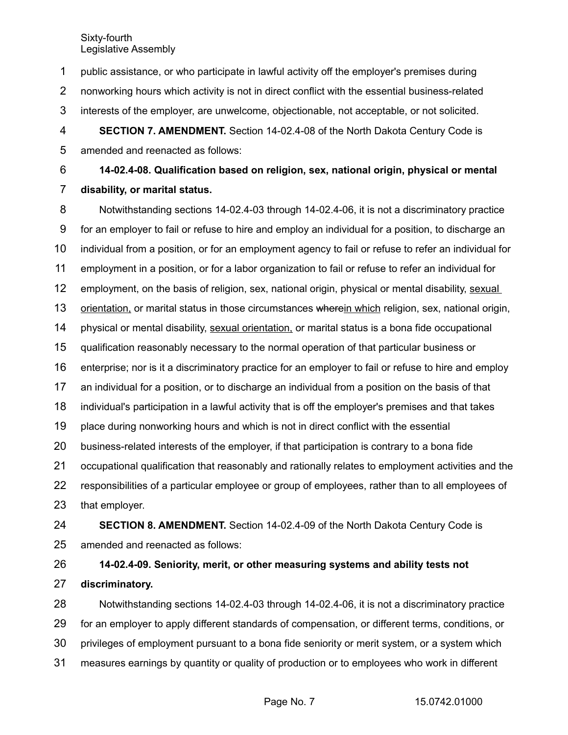public assistance, or who participate in lawful activity off the employer's premises during nonworking hours which activity is not in direct conflict with the essential business-related interests of the employer, are unwelcome, objectionable, not acceptable, or not solicited. **SECTION 7. AMENDMENT.** Section 14-02.4-08 of the North Dakota Century Code is amended and reenacted as follows: 1 2 3 4 5

**14-02.4-08. Qualification based on religion, sex, national origin, physical or mental disability, or marital status.** 6 7

Notwithstanding sections 14-02.4-03 through 14-02.4-06, it is not a discriminatory practice for an employer to fail or refuse to hire and employ an individual for a position, to discharge an individual from a position, or for an employment agency to fail or refuse to refer an individual for employment in a position, or for a labor organization to fail or refuse to refer an individual for employment, on the basis of religion, sex, national origin, physical or mental disability, sexual orientation, or marital status in those circumstances wherein which religion, sex, national origin, physical or mental disability, sexual orientation, or marital status is a bona fide occupational qualification reasonably necessary to the normal operation of that particular business or enterprise; nor is it a discriminatory practice for an employer to fail or refuse to hire and employ an individual for a position, or to discharge an individual from a position on the basis of that individual's participation in a lawful activity that is off the employer's premises and that takes place during nonworking hours and which is not in direct conflict with the essential business-related interests of the employer, if that participation is contrary to a bona fide occupational qualification that reasonably and rationally relates to employment activities and the responsibilities of a particular employee or group of employees, rather than to all employees of that employer. **SECTION 8. AMENDMENT.** Section 14-02.4-09 of the North Dakota Century Code is amended and reenacted as follows: 8 9 10 11 12 13 14 15 16 17 18 19 20 21 22 23 24 25

**14-02.4-09. Seniority, merit, or other measuring systems and ability tests not** 26

**discriminatory.** 27

Notwithstanding sections 14-02.4-03 through 14-02.4-06, it is not a discriminatory practice for an employer to apply different standards of compensation, or different terms, conditions, or privileges of employment pursuant to a bona fide seniority or merit system, or a system which measures earnings by quantity or quality of production or to employees who work in different 28 29 30 31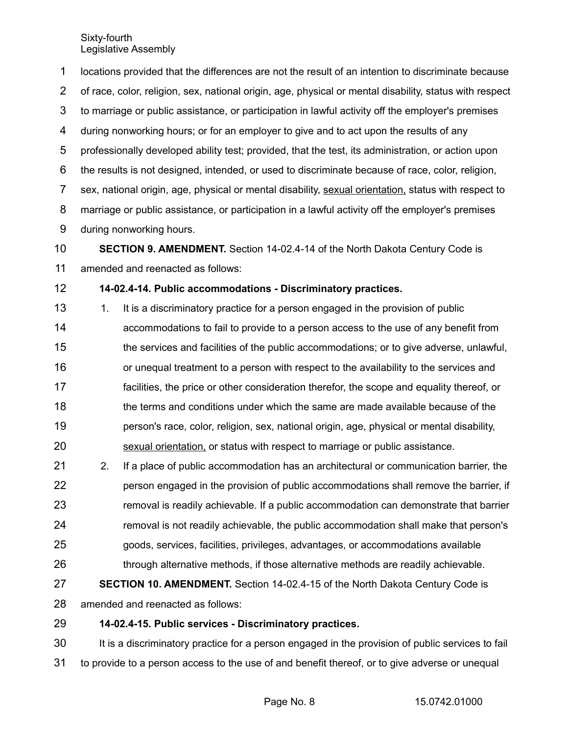locations provided that the differences are not the result of an intention to discriminate because of race, color, religion, sex, national origin, age, physical or mental disability, status with respect to marriage or public assistance, or participation in lawful activity off the employer's premises during nonworking hours; or for an employer to give and to act upon the results of any professionally developed ability test; provided, that the test, its administration, or action upon the results is not designed, intended, or used to discriminate because of race, color, religion, sex, national origin, age, physical or mental disability, sexual orientation, status with respect to marriage or public assistance, or participation in a lawful activity off the employer's premises during nonworking hours. **SECTION 9. AMENDMENT.** Section 14-02.4-14 of the North Dakota Century Code is 1 2 3 4 5 6 7 8 9 10

amended and reenacted as follows: 11

**14-02.4-14. Public accommodations - Discriminatory practices.** 12

- 1. It is a discriminatory practice for a person engaged in the provision of public accommodations to fail to provide to a person access to the use of any benefit from the services and facilities of the public accommodations; or to give adverse, unlawful, or unequal treatment to a person with respect to the availability to the services and facilities, the price or other consideration therefor, the scope and equality thereof, or the terms and conditions under which the same are made available because of the person's race, color, religion, sex, national origin, age, physical or mental disability, sexual orientation, or status with respect to marriage or public assistance. 13 14 15 16 17 18 19 20
- 2. If a place of public accommodation has an architectural or communication barrier, the person engaged in the provision of public accommodations shall remove the barrier, if removal is readily achievable. If a public accommodation can demonstrate that barrier removal is not readily achievable, the public accommodation shall make that person's goods, services, facilities, privileges, advantages, or accommodations available through alternative methods, if those alternative methods are readily achievable. 21 22 23 24 25 26

## **SECTION 10. AMENDMENT.** Section 14-02.4-15 of the North Dakota Century Code is 27

amended and reenacted as follows: 28

**14-02.4-15. Public services - Discriminatory practices.** 29

It is a discriminatory practice for a person engaged in the provision of public services to fail to provide to a person access to the use of and benefit thereof, or to give adverse or unequal 30 31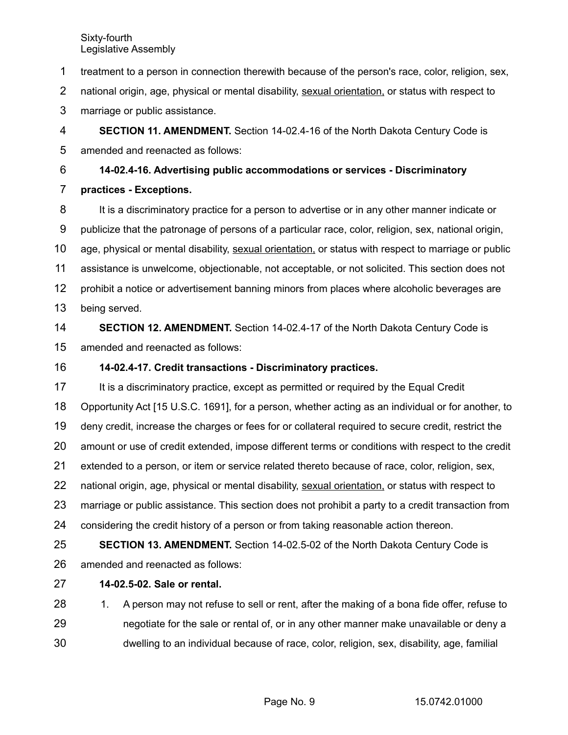treatment to a person in connection therewith because of the person's race, color, religion, sex, 1

national origin, age, physical or mental disability, sexual orientation, or status with respect to 2

marriage or public assistance. 3

**SECTION 11. AMENDMENT.** Section 14-02.4-16 of the North Dakota Century Code is amended and reenacted as follows: 4 5

**14-02.4-16. Advertising public accommodations or services - Discriminatory** 6

**practices - Exceptions.** 7

It is a discriminatory practice for a person to advertise or in any other manner indicate or publicize that the patronage of persons of a particular race, color, religion, sex, national origin, age, physical or mental disability, sexual orientation, or status with respect to marriage or public assistance is unwelcome, objectionable, not acceptable, or not solicited. This section does not prohibit a notice or advertisement banning minors from places where alcoholic beverages are being served. 8 9 10 11 12 13

**SECTION 12. AMENDMENT.** Section 14-02.4-17 of the North Dakota Century Code is amended and reenacted as follows: 14 15

### **14-02.4-17. Credit transactions - Discriminatory practices.** 16

It is a discriminatory practice, except as permitted or required by the Equal Credit Opportunity Act [15 U.S.C. 1691], for a person, whether acting as an individual or for another, to deny credit, increase the charges or fees for or collateral required to secure credit, restrict the amount or use of credit extended, impose different terms or conditions with respect to the credit extended to a person, or item or service related thereto because of race, color, religion, sex, national origin, age, physical or mental disability, sexual orientation, or status with respect to marriage or public assistance. This section does not prohibit a party to a credit transaction from considering the credit history of a person or from taking reasonable action thereon. **SECTION 13. AMENDMENT.** Section 14-02.5-02 of the North Dakota Century Code is 17 18 19 20 21 22 23 24 25

amended and reenacted as follows: 26

### **14-02.5-02. Sale or rental.** 27

1. A person may not refuse to sell or rent, after the making of a bona fide offer, refuse to negotiate for the sale or rental of, or in any other manner make unavailable or deny a dwelling to an individual because of race, color, religion, sex, disability, age, familial 28 29 30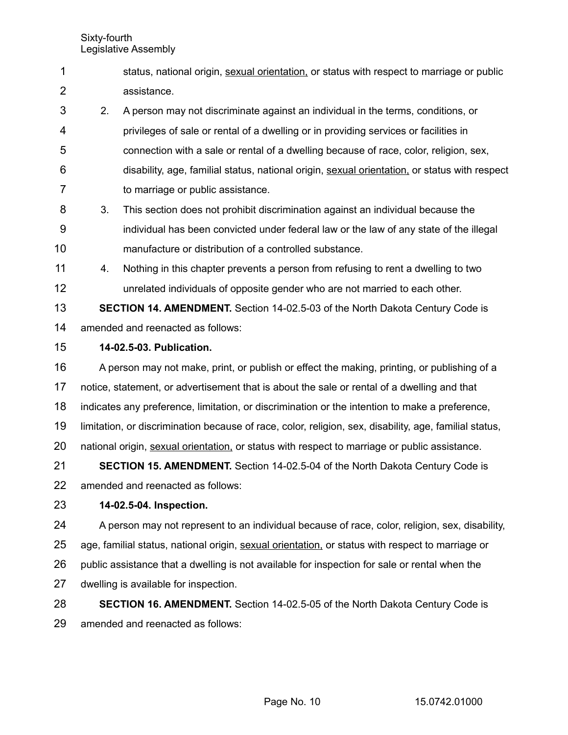- status, national origin, sexual orientation, or status with respect to marriage or public assistance. 1 2
- 2. A person may not discriminate against an individual in the terms, conditions, or privileges of sale or rental of a dwelling or in providing services or facilities in connection with a sale or rental of a dwelling because of race, color, religion, sex, disability, age, familial status, national origin, sexual orientation, or status with respect to marriage or public assistance. 3 4 5 6 7
- 3. This section does not prohibit discrimination against an individual because the individual has been convicted under federal law or the law of any state of the illegal manufacture or distribution of a controlled substance. 8 9 10
- 4. Nothing in this chapter prevents a person from refusing to rent a dwelling to two unrelated individuals of opposite gender who are not married to each other. 11 12

**SECTION 14. AMENDMENT.** Section 14-02.5-03 of the North Dakota Century Code is amended and reenacted as follows: 13 14

**14-02.5-03. Publication.** 15

A person may not make, print, or publish or effect the making, printing, or publishing of a notice, statement, or advertisement that is about the sale or rental of a dwelling and that indicates any preference, limitation, or discrimination or the intention to make a preference, limitation, or discrimination because of race, color, religion, sex, disability, age, familial status, national origin, sexual orientation, or status with respect to marriage or public assistance. **SECTION 15. AMENDMENT.** Section 14-02.5-04 of the North Dakota Century Code is 16 17 18 19 20 21

amended and reenacted as follows: 22

### **14-02.5-04. Inspection.** 23

A person may not represent to an individual because of race, color, religion, sex, disability, age, familial status, national origin, sexual orientation, or status with respect to marriage or public assistance that a dwelling is not available for inspection for sale or rental when the dwelling is available for inspection. 24 25 26 27

**SECTION 16. AMENDMENT.** Section 14-02.5-05 of the North Dakota Century Code is amended and reenacted as follows: 28 29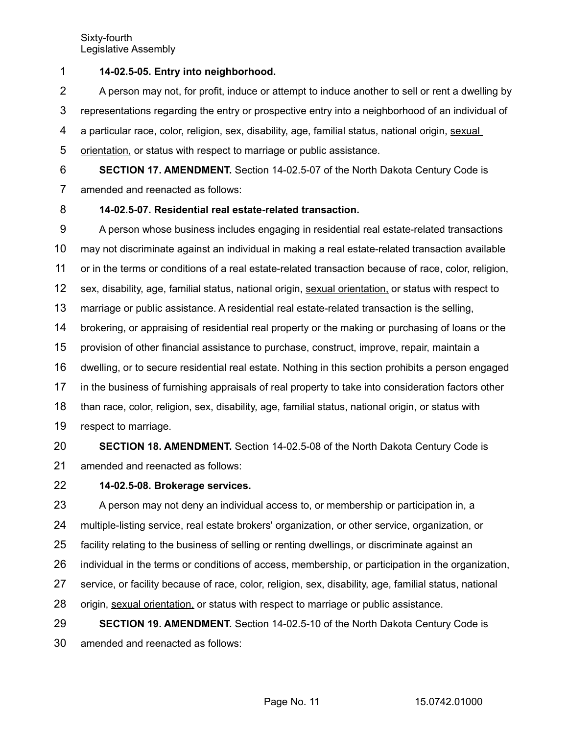**14-02.5-05. Entry into neighborhood.** 1

A person may not, for profit, induce or attempt to induce another to sell or rent a dwelling by representations regarding the entry or prospective entry into a neighborhood of an individual of a particular race, color, religion, sex, disability, age, familial status, national origin, sexual orientation, or status with respect to marriage or public assistance. 2 3 4 5

**SECTION 17. AMENDMENT.** Section 14-02.5-07 of the North Dakota Century Code is amended and reenacted as follows: 6 7

### **14-02.5-07. Residential real estate-related transaction.** 8

A person whose business includes engaging in residential real estate-related transactions may not discriminate against an individual in making a real estate-related transaction available or in the terms or conditions of a real estate-related transaction because of race, color, religion, sex, disability, age, familial status, national origin, sexual orientation, or status with respect to marriage or public assistance. A residential real estate-related transaction is the selling, brokering, or appraising of residential real property or the making or purchasing of loans or the provision of other financial assistance to purchase, construct, improve, repair, maintain a dwelling, or to secure residential real estate. Nothing in this section prohibits a person engaged in the business of furnishing appraisals of real property to take into consideration factors other than race, color, religion, sex, disability, age, familial status, national origin, or status with respect to marriage. **SECTION 18. AMENDMENT.** Section 14-02.5-08 of the North Dakota Century Code is 9 10 11 12 13 14 15 16 17 18 19 20

- amended and reenacted as follows: 21
- **14-02.5-08. Brokerage services.** 22

A person may not deny an individual access to, or membership or participation in, a multiple-listing service, real estate brokers' organization, or other service, organization, or facility relating to the business of selling or renting dwellings, or discriminate against an individual in the terms or conditions of access, membership, or participation in the organization, service, or facility because of race, color, religion, sex, disability, age, familial status, national origin, sexual orientation, or status with respect to marriage or public assistance. **SECTION 19. AMENDMENT.** Section 14-02.5-10 of the North Dakota Century Code is 23 24 25 26 27 28 29

amended and reenacted as follows: 30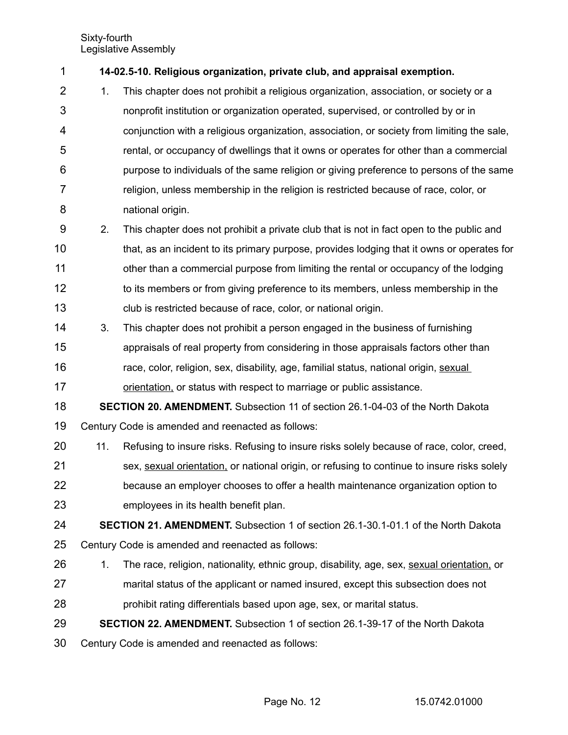| 1              |     | 14-02.5-10. Religious organization, private club, and appraisal exemption.                  |
|----------------|-----|---------------------------------------------------------------------------------------------|
| $\overline{2}$ | 1.  | This chapter does not prohibit a religious organization, association, or society or a       |
| 3              |     | nonprofit institution or organization operated, supervised, or controlled by or in          |
| 4              |     | conjunction with a religious organization, association, or society from limiting the sale,  |
| 5              |     | rental, or occupancy of dwellings that it owns or operates for other than a commercial      |
| 6              |     | purpose to individuals of the same religion or giving preference to persons of the same     |
| $\overline{7}$ |     | religion, unless membership in the religion is restricted because of race, color, or        |
| 8              |     | national origin.                                                                            |
| 9              | 2.  | This chapter does not prohibit a private club that is not in fact open to the public and    |
| 10             |     | that, as an incident to its primary purpose, provides lodging that it owns or operates for  |
| 11             |     | other than a commercial purpose from limiting the rental or occupancy of the lodging        |
| 12             |     | to its members or from giving preference to its members, unless membership in the           |
| 13             |     | club is restricted because of race, color, or national origin.                              |
| 14             | 3.  | This chapter does not prohibit a person engaged in the business of furnishing               |
| 15             |     | appraisals of real property from considering in those appraisals factors other than         |
| 16             |     | race, color, religion, sex, disability, age, familial status, national origin, sexual       |
| 17             |     | orientation, or status with respect to marriage or public assistance.                       |
| 18             |     | <b>SECTION 20. AMENDMENT.</b> Subsection 11 of section 26.1-04-03 of the North Dakota       |
| 19             |     | Century Code is amended and reenacted as follows:                                           |
| 20             | 11. | Refusing to insure risks. Refusing to insure risks solely because of race, color, creed,    |
| 21             |     | sex, sexual orientation, or national origin, or refusing to continue to insure risks solely |
| 22             |     | because an employer chooses to offer a health maintenance organization option to            |
| 23             |     | employees in its health benefit plan.                                                       |
| 24             |     | <b>SECTION 21. AMENDMENT.</b> Subsection 1 of section 26.1-30.1-01.1 of the North Dakota    |
| 25             |     | Century Code is amended and reenacted as follows:                                           |
| 26             | 1.  | The race, religion, nationality, ethnic group, disability, age, sex, sexual orientation, or |
| 27             |     | marital status of the applicant or named insured, except this subsection does not           |
| 28             |     | prohibit rating differentials based upon age, sex, or marital status.                       |
| 29             |     | <b>SECTION 22. AMENDMENT.</b> Subsection 1 of section 26.1-39-17 of the North Dakota        |
| 30             |     | Century Code is amended and reenacted as follows:                                           |
|                |     |                                                                                             |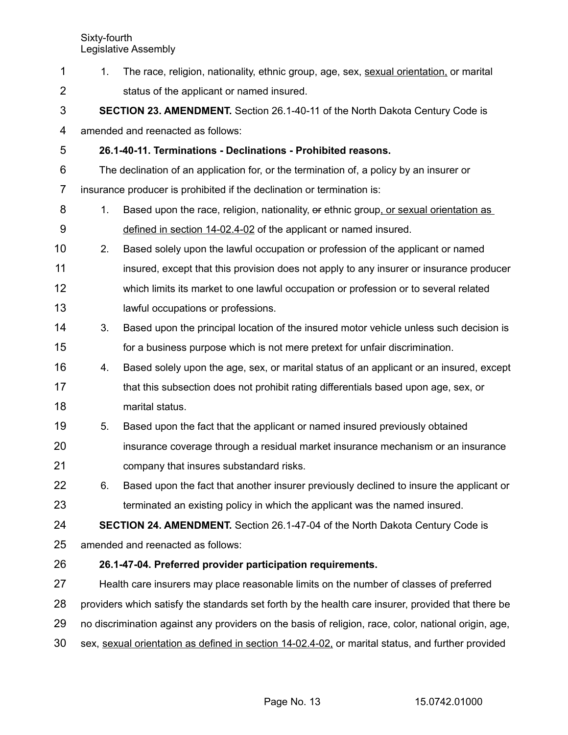| $\mathbf 1$    | 1.                                                                                                   | The race, religion, nationality, ethnic group, age, sex, sexual orientation, or marital           |  |  |  |
|----------------|------------------------------------------------------------------------------------------------------|---------------------------------------------------------------------------------------------------|--|--|--|
| $\overline{2}$ |                                                                                                      | status of the applicant or named insured.                                                         |  |  |  |
| 3              |                                                                                                      | <b>SECTION 23. AMENDMENT.</b> Section 26.1-40-11 of the North Dakota Century Code is              |  |  |  |
| 4              |                                                                                                      | amended and reenacted as follows:                                                                 |  |  |  |
| 5              |                                                                                                      | 26.1-40-11. Terminations - Declinations - Prohibited reasons.                                     |  |  |  |
| 6              | The declination of an application for, or the termination of, a policy by an insurer or              |                                                                                                   |  |  |  |
| 7              | insurance producer is prohibited if the declination or termination is:                               |                                                                                                   |  |  |  |
| 8              | 1 <sub>1</sub>                                                                                       | Based upon the race, religion, nationality, or ethnic group, or sexual orientation as             |  |  |  |
| 9              |                                                                                                      | defined in section 14-02.4-02 of the applicant or named insured.                                  |  |  |  |
| 10             | 2.                                                                                                   | Based solely upon the lawful occupation or profession of the applicant or named                   |  |  |  |
| 11             |                                                                                                      | insured, except that this provision does not apply to any insurer or insurance producer           |  |  |  |
| 12             |                                                                                                      | which limits its market to one lawful occupation or profession or to several related              |  |  |  |
| 13             |                                                                                                      | lawful occupations or professions.                                                                |  |  |  |
| 14             | 3.                                                                                                   | Based upon the principal location of the insured motor vehicle unless such decision is            |  |  |  |
| 15             |                                                                                                      | for a business purpose which is not mere pretext for unfair discrimination.                       |  |  |  |
| 16             | 4.                                                                                                   | Based solely upon the age, sex, or marital status of an applicant or an insured, except           |  |  |  |
| 17             |                                                                                                      | that this subsection does not prohibit rating differentials based upon age, sex, or               |  |  |  |
| 18             |                                                                                                      | marital status.                                                                                   |  |  |  |
| 19             | 5.                                                                                                   | Based upon the fact that the applicant or named insured previously obtained                       |  |  |  |
| 20             |                                                                                                      | insurance coverage through a residual market insurance mechanism or an insurance                  |  |  |  |
| 21             |                                                                                                      | company that insures substandard risks.                                                           |  |  |  |
| 22             | 6.                                                                                                   | Based upon the fact that another insurer previously declined to insure the applicant or           |  |  |  |
| 23             |                                                                                                      | terminated an existing policy in which the applicant was the named insured.                       |  |  |  |
| 24             |                                                                                                      | <b>SECTION 24. AMENDMENT.</b> Section 26.1-47-04 of the North Dakota Century Code is              |  |  |  |
| 25             | amended and reenacted as follows:                                                                    |                                                                                                   |  |  |  |
| 26             |                                                                                                      | 26.1-47-04. Preferred provider participation requirements.                                        |  |  |  |
| 27             | Health care insurers may place reasonable limits on the number of classes of preferred               |                                                                                                   |  |  |  |
| 28             | providers which satisfy the standards set forth by the health care insurer, provided that there be   |                                                                                                   |  |  |  |
| 29             | no discrimination against any providers on the basis of religion, race, color, national origin, age, |                                                                                                   |  |  |  |
| 30             |                                                                                                      | sex, sexual orientation as defined in section 14-02.4-02, or marital status, and further provided |  |  |  |
|                |                                                                                                      |                                                                                                   |  |  |  |